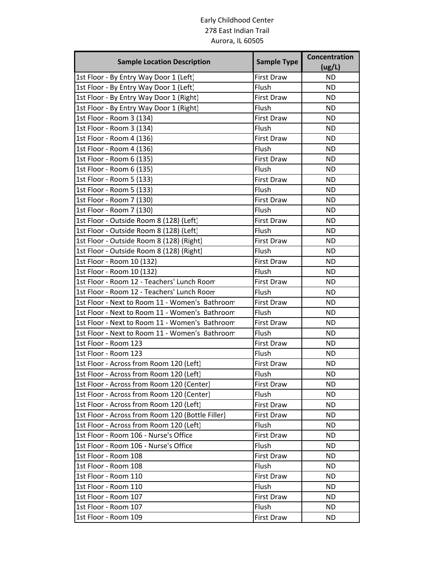## Early Childhood Center 278 East Indian Trail Aurora, IL 60505

| <b>Sample Location Description</b>               | <b>Sample Type</b> | Concentration<br>(ug/L) |
|--------------------------------------------------|--------------------|-------------------------|
| 1st Floor - By Entry Way Door 1 (Left)           | <b>First Draw</b>  | <b>ND</b>               |
| 1st Floor - By Entry Way Door 1 (Left)           | Flush              | <b>ND</b>               |
| 1st Floor - By Entry Way Door 1 (Right)          | <b>First Draw</b>  | <b>ND</b>               |
| 1st Floor - By Entry Way Door 1 (Right)          | Flush              | <b>ND</b>               |
| 1st Floor - Room 3 (134)                         | <b>First Draw</b>  | <b>ND</b>               |
| 1st Floor - Room 3 (134)                         | Flush              | <b>ND</b>               |
| 1st Floor - Room 4 (136)                         | First Draw         | <b>ND</b>               |
| 1st Floor - Room 4 (136)                         | Flush              | <b>ND</b>               |
| 1st Floor - Room 6 (135)                         | <b>First Draw</b>  | <b>ND</b>               |
| 1st Floor - Room 6 (135)                         | Flush              | <b>ND</b>               |
| 1st Floor - Room 5 (133)                         | <b>First Draw</b>  | <b>ND</b>               |
| 1st Floor - Room 5 (133)                         | Flush              | <b>ND</b>               |
| 1st Floor - Room 7 (130)                         | <b>First Draw</b>  | <b>ND</b>               |
| 1st Floor - Room 7 (130)                         | Flush              | <b>ND</b>               |
| 1st Floor - Outside Room 8 (128) (Left)          | <b>First Draw</b>  | <b>ND</b>               |
| 1st Floor - Outside Room 8 (128) (Left)          | Flush              | <b>ND</b>               |
| 1st Floor - Outside Room 8 (128) (Right)         | <b>First Draw</b>  | <b>ND</b>               |
| 1st Floor - Outside Room 8 (128) (Right)         | Flush              | <b>ND</b>               |
| 1st Floor - Room 10 (132)                        | <b>First Draw</b>  | <b>ND</b>               |
| 1st Floor - Room 10 (132)                        | Flush              | <b>ND</b>               |
| 1st Floor - Room 12 - Teachers' Lunch Room       | <b>First Draw</b>  | <b>ND</b>               |
| 1st Floor - Room 12 - Teachers' Lunch Room       | Flush              | <b>ND</b>               |
| 1st Floor - Next to Room 11 - Women's Bathroom   | <b>First Draw</b>  | <b>ND</b>               |
| 1st Floor - Next to Room 11 - Women's Bathroom   | Flush              | <b>ND</b>               |
| 1st Floor - Next to Room 11 - Women's Bathroom   | <b>First Draw</b>  | <b>ND</b>               |
| 1st Floor - Next to Room 11 - Women's Bathroom   | Flush              | <b>ND</b>               |
| 1st Floor - Room 123                             | <b>First Draw</b>  | <b>ND</b>               |
| 1st Floor - Room 123                             | Flush              | <b>ND</b>               |
| 1st Floor - Across from Room 120 (Left)          | <b>First Draw</b>  | <b>ND</b>               |
| 1st Floor - Across from Room 120 (Left)          | Flush              | <b>ND</b>               |
| 1st Floor - Across from Room 120 (Center)        | First Draw         | <b>ND</b>               |
| 1st Floor - Across from Room 120 (Center)        | Flush              | <b>ND</b>               |
| 1st Floor - Across from Room 120 (Left)          | First Draw         | <b>ND</b>               |
| 1st Floor - Across from Room 120 (Bottle Filler) | First Draw         | <b>ND</b>               |
| 1st Floor - Across from Room 120 (Left)          | Flush              | <b>ND</b>               |
| 1st Floor - Room 106 - Nurse's Office            | First Draw         | <b>ND</b>               |
| 1st Floor - Room 106 - Nurse's Office            | Flush              | <b>ND</b>               |
| 1st Floor - Room 108                             | First Draw         | <b>ND</b>               |
| 1st Floor - Room 108                             | Flush              | <b>ND</b>               |
| 1st Floor - Room 110                             | First Draw         | <b>ND</b>               |
| 1st Floor - Room 110                             | Flush              | <b>ND</b>               |
| 1st Floor - Room 107                             | First Draw         | <b>ND</b>               |
| 1st Floor - Room 107                             | Flush              | <b>ND</b>               |
| 1st Floor - Room 109                             | First Draw         | ND.                     |